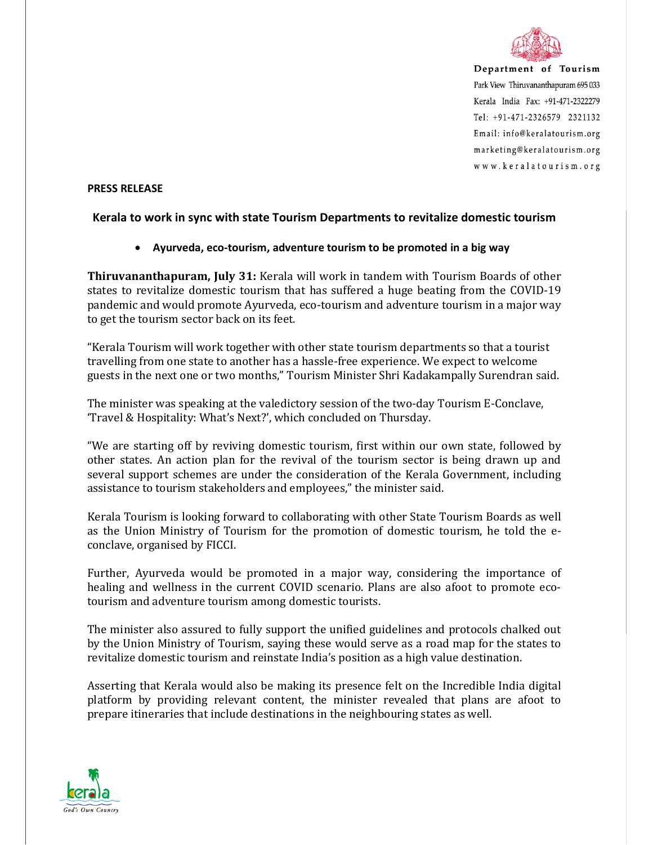

Department of Tourism Park View Thiruvananthapuram 695 033 Kerala India Fax: +91-471-2322279  $Tel: +91-471-2326579$  2321132 Email: info@keralatourism.org marketing@keralatourism.org www.keralatourism.org

## **PRESS RELEASE**

## **Kerala to work in sync with state Tourism Departments to revitalize domestic tourism**

## • **Ayurveda, eco-tourism, adventure tourism to be promoted in a big way**

**Thiruvananthapuram, July 31:** Kerala will work in tandem with Tourism Boards of other states to revitalize domestic tourism that has suffered a huge beating from the COVID-19 pandemic and would promote Ayurveda, eco-tourism and adventure tourism in a major way to get the tourism sector back on its feet.

"Kerala Tourism will work together with other state tourism departments so that a tourist travelling from one state to another has a hassle-free experience. We expect to welcome guests in the next one or two months," Tourism Minister Shri Kadakampally Surendran said.

The minister was speaking at the valedictory session of the two-day Tourism E-Conclave, 'Travel & Hospitality: What's Next?', which concluded on Thursday.

"We are starting off by reviving domestic tourism, first within our own state, followed by other states. An action plan for the revival of the tourism sector is being drawn up and several support schemes are under the consideration of the Kerala Government, including assistance to tourism stakeholders and employees," the minister said.

Kerala Tourism is looking forward to collaborating with other State Tourism Boards as well as the Union Ministry of Tourism for the promotion of domestic tourism, he told the econclave, organised by FICCI.

Further, Ayurveda would be promoted in a major way, considering the importance of healing and wellness in the current COVID scenario. Plans are also afoot to promote ecotourism and adventure tourism among domestic tourists.

The minister also assured to fully support the unified guidelines and protocols chalked out by the Union Ministry of Tourism, saying these would serve as a road map for the states to revitalize domestic tourism and reinstate India's position as a high value destination.

Asserting that Kerala would also be making its presence felt on the Incredible India digital platform by providing relevant content, the minister revealed that plans are afoot to prepare itineraries that include destinations in the neighbouring states as well.